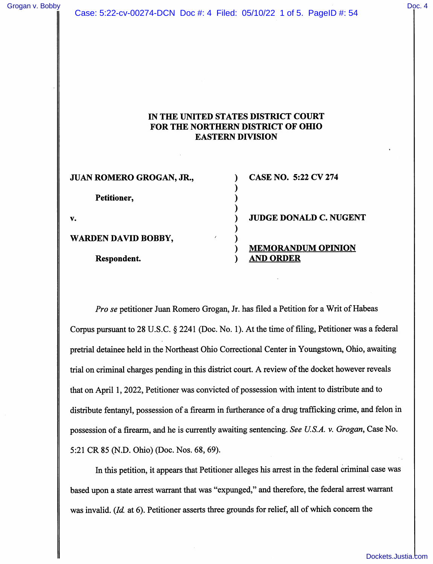## Case: 5:22-cv-00274-DCN Doc #: 4 Filed: 05/10/22 1 of 5. PageID #: 54 [Grogan v. Bobby](https://dockets.justia.com/docket/ohio/ohndce/5:2022cv00274/285234/) [Doc. 4](https://docs.justia.com/cases/federal/district-courts/ohio/ohndce/5:2022cv00274/285234/4/)

## IN THE UNITED STATES DISTRICT COURT FOR THE NORTHERN DISTRICT OF OHIO EASTERN DIVISION

| JUAN ROMERO GROGAN, JR.,   | <b>CASE NO. 5:22 CV 274</b>                   |
|----------------------------|-----------------------------------------------|
| Petitioner,                |                                               |
| v.                         | <b>JUDGE DONALD C. NUGENT</b>                 |
| <b>WARDEN DAVID BOBBY,</b> |                                               |
| Respondent.                | <b>MEMORANDUM OPINION</b><br><b>AND ORDER</b> |

Pro se petitioner Juan Romero Grogan, Jr. has filed a Petition for a Writ of Habeas Corpus pursuant to 28 U.S.C. § 2241 (Doc. No. 1). At the time of filing. Petitioner was a federal pretrial detainee held in the Northeast Ohio Correctional Center in Youngstown, Ohio, awaiting trial on criminal charges pending in this district court. A review of the docket however reveals that on April 1,2022, Petitioner was convicted of possession with intent to distribute and to distribute fentanyl, possession of a firearm in furtherance of a drug trafficking crime, and felon in possession of a firearm, and he is currently awaiting sentencing. See U.S.A. v. Grogan, Case No. 5:21 CR 85 (N.D. Ohio) (Doc. Nos. 68,69).

In this petition, it appears that Petitioner alleges his arrest in the federal criminal case was based upon a state arrest warrant that was "expunged," and therefore, the federal arrest warrant was invalid.  $(Id.$  at 6). Petitioner asserts three grounds for relief, all of which concern the

[Dockets.Justia.com](https://dockets.justia.com/)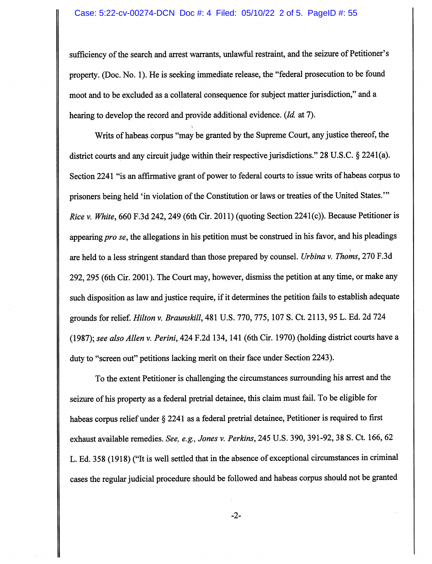sufficiency of the search and arrest warrants, unlawful restraint, and the seizure of Petitioner's property. (Doc. No. 1). He is seeking immediate release, the "federal prosecution to be found moot and to be excluded as a collateral consequence for subject matter jurisdiction," and a hearing to develop the record and provide additional evidence. (*Id.* at 7).

\

Writs of habeas corpus "may be granted by the Supreme Court, any justice thereof, the district courts and any circuit judge within their respective jurisdictions." 28 U.S.C. § 2241(a). Section 2241 "is an affirmative grant of power to federal courts to issue writs of habeas corpus to prisoners being held 'in violation of the Constitution or laws or treaties of the United States.'" Rice v. White, 660 F.3d 242, 249 (6th Cir. 2011) (quoting Section 2241(c)). Because Petitioner is appearing pro se, the allegations in his petition must be construed in his favor, and his pleadings are held to a less stringent standard than those prepared by counsel. Urbina v. Thoms, 270 F.3d 292,295 (6th Cir. 2001). The Court may, however, dismiss the petition at any time, or make any such disposition as law and justice require, if it determines the petition fails to establish adequate grounds for relief. *Hilton v. Braunskill*, 481 U.S. 770, 775, 107 S. Ct. 2113, 95 L. Ed. 2d 724 (1987); see also Allen v. Perini, 424 F.2d 134,141 (6th Cir. 1970) (holding district courts have a duty to "screen out" petitions lacking merit on their face under Section 2243).

To the extent Petitioner is challenging the circumstances surrounding his arrest and the seizure of his property as a federal pretrial detainee, this claim must fail. To be eligible for habeas corpus relief under § 2241 as a federal pretrial detainee, Petitioner is required to first exhaust available remedies. See, e.g., Jones v. Perkins, 245 U.S. 390, 391-92,38 S. Ct. 166,62 L. Ed. 358 (1918) ("It is well settled that in the absence of exceptional circumstances in criminal cases the regular judicial procedure should be followed and habeas corpus should not be granted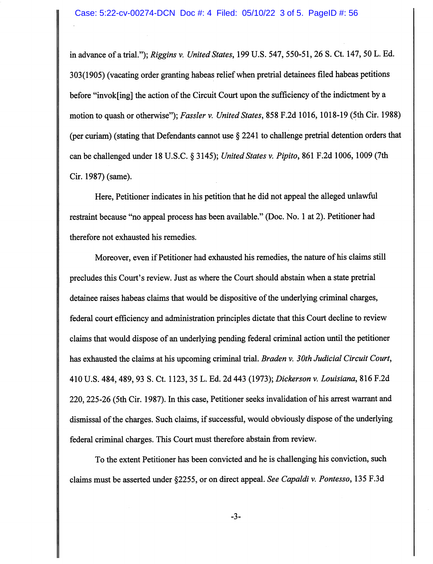in advance of a trial."); Riggins v. United States, 199 U.S. 547, 550-51, 26 S. Ct. 147, 50 L. Ed. 303(1905) (vacating order granting habeas relief when pretrial detainees filed habeas petitions before "invok[ing] the action of the Circuit Court upon the sufficiency of the indictment by a motion to quash or otherwise"); Fassler v. United States, 858 F.2d 1016, 1018-19 (5th Cir. 1988) (per curiam) (stating that Defendants carmot use § 2241 to challenge pretrial detention orders that can be challenged under 18 U.S.C. § 3145); United States v. Pipito, 861 F.2d 1006, 1009 (7th Cir. 1987) (same).

Here, Petitioner indicates in his petition that he did not appeal the alleged unlawful restraint because "no appeal process has been available." (Doc. No. 1 at 2). Petitioner had therefore not exhausted his remedies.

Moreover, even if Petitioner had exhausted his remedies, the nature of his claims still precludes this Court's review. Just as where the Court should abstain when a state pretrial detainee raises habeas claims that would be dispositive of the underlying criminal charges, federal court efficiency and administration principles dictate that this Court decline to review claims that would dispose of an underlying pending federal criminal action until the petitioner has exhausted the claims at his upcoming criminal trial. Braden v. 30th Judicial Circuit Court, 410 U.S. 484,489,93 S. Ct. 1123, 35 L. Ed. 2d 443 (1973); Dickerson v. Louisiana, 816 F.2d 220,225-26 (5th Cir. 1987). In this case. Petitioner seeks invalidation of his arrest warrant and dismissal of the charges. Such claims, if successful, would obviously dispose of the underlying federal criminal charges. This Court must therefore abstain firom review.

To the extent Petitioner has been convicted and he is challenging his conviction, such claims must be asserted under §2255, or on direct appeal. See Capaldi v. Pontesso, 135 F.3d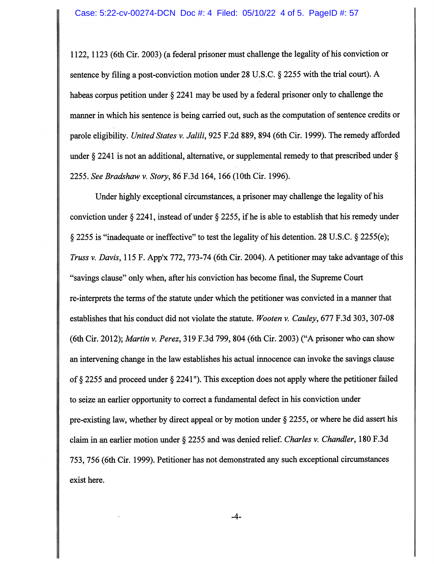1122,1123 (6th Cir. 2003) (a federal prisoner must challenge the legality of his conviction or sentence by filing a post-conviction motion under 28 U.S.C. § 2255 with the trial court). A habeas corpus petition under § 2241 may be used by a federal prisoner only to challenge the manner in which his sentence is being carried out, such as the computation of sentence credits or parole eligibility. United States v. Jalili, 925 F.2d 889, 894 (6th Cir. 1999). The remedy afforded under § 2241 is not an additional, alternative, or supplemental remedy to that prescribed under § 2255. See Bradshaw v. Story, 86 F.3d 164,166 (10th Cir. 1996).

Under highly exceptional circumstances, a prisoner may challenge the legality of his conviction under § 2241, instead of under § 2255, if he is able to establish that his remedy under § 2255 is "inadequate or ineffective" to test the legality of his detention. 28 U.S.C. § 2255(e); Truss v. Davis, 115 F. App'x 772, 773-74 (6th Cir. 2004). A petitioner may take advantage of this "savings clause" only when, after his conviction has become final, the Supreme Court re-interprets the terms of the statute under which the petitioner was convicted in a manner that establishes that his conduct did not violate the statute. Wooten v. Cauley, 677 F.3d 303, 307-08 (6th Cir. 2012); Martin v. Perez, 319 F.3d 799, 804 (6th Cir. 2003) ("A prisoner who can show an intervening change in the law establishes his actual innocence can invoke the savings clause of § 2255 and proceed under § 2241"). This exception does not apply where the petitioner failed to seize an earlier opportunity to correct a fundamental defect in his conviction under pre-existing law, whether by direct appeal or by motion under § 2255, or where he did assert his claim in an earlier motion under § 2255 and was denied relief. Charles v. Chandler, 180 F.3d 753,756 (6th Cir. 1999). Petitioner has not demonstrated any such exceptional circumstances exist here.